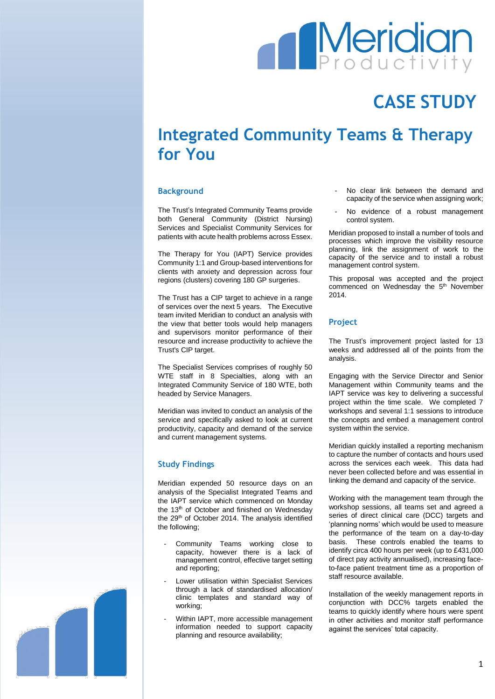# **Meridian**

## **CASE STUDY**

### **Integrated Community Teams & Therapy for You**

#### **Background**

The Trust's Integrated Community Teams provide both General Community (District Nursing) Services and Specialist Community Services for patients with acute health problems across Essex.

The Therapy for You (IAPT) Service provides Community 1:1 and Group-based interventions for clients with anxiety and depression across four regions (clusters) covering 180 GP surgeries.

The Trust has a CIP target to achieve in a range of services over the next 5 years. The Executive team invited Meridian to conduct an analysis with the view that better tools would help managers and supervisors monitor performance of their resource and increase productivity to achieve the Trust's CIP target.

The Specialist Services comprises of roughly 50 WTE staff in 8 Specialties, along with an Integrated Community Service of 180 WTE, both headed by Service Managers.

Meridian was invited to conduct an analysis of the service and specifically asked to look at current productivity, capacity and demand of the service and current management systems.

#### **Study Findings**

Meridian expended 50 resource days on an analysis of the Specialist Integrated Teams and the IAPT service which commenced on Monday the 13<sup>th</sup> of October and finished on Wednesday the 29<sup>th</sup> of October 2014. The analysis identified the following;

- Community Teams working close to capacity, however there is a lack of management control, effective target setting and reporting;
- Lower utilisation within Specialist Services through a lack of standardised allocation/ clinic templates and standard way of working;
- Within IAPT, more accessible management information needed to support capacity planning and resource availability;
- No clear link between the demand and capacity of the service when assigning work;
- No evidence of a robust management control system.

Meridian proposed to install a number of tools and processes which improve the visibility resource planning, link the assignment of work to the capacity of the service and to install a robust management control system.

This proposal was accepted and the project commenced on Wednesday the 5<sup>th</sup> November 2014.

#### **Project**

The Trust's improvement project lasted for 13 weeks and addressed all of the points from the analysis.

Engaging with the Service Director and Senior Management within Community teams and the IAPT service was key to delivering a successful project within the time scale. We completed 7 workshops and several 1:1 sessions to introduce the concepts and embed a management control system within the service.

Meridian quickly installed a reporting mechanism to capture the number of contacts and hours used across the services each week. This data had never been collected before and was essential in linking the demand and capacity of the service.

Working with the management team through the workshop sessions, all teams set and agreed a series of direct clinical care (DCC) targets and 'planning norms' which would be used to measure the performance of the team on a day-to-day basis. These controls enabled the teams to identify circa 400 hours per week (up to £431,000 of direct pay activity annualised), increasing faceto-face patient treatment time as a proportion of staff resource available.

Installation of the weekly management reports in conjunction with DCC% targets enabled the teams to quickly identify where hours were spent in other activities and monitor staff performance against the services' total capacity.

1